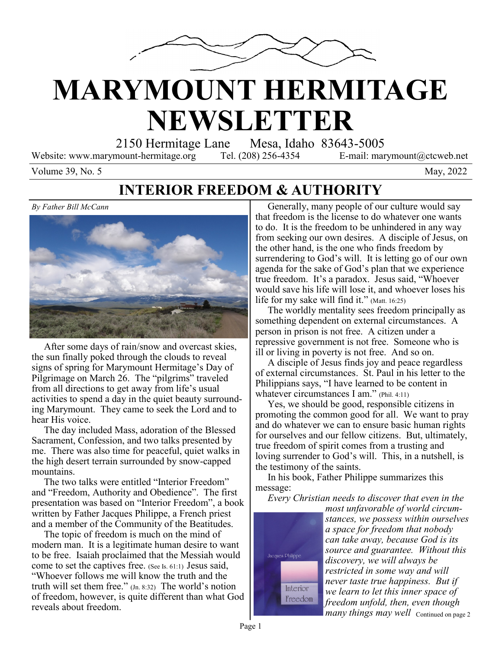

# **MARYMOUNT HERMITAGE NEWSLETTER**

2150 Hermitage Lane Mesa, Idaho 83643-5005

Website: www.marymount-hermitage.org Tel. (208) 256-4354 E-mail: marymount@ctcweb.net

Volume  $39$ , No. 5 May,  $2022$ 

#### **INTERIOR FREEDOM & AUTHORITY**

*By Father Bill McCann*



 After some days of rain/snow and overcast skies, the sun finally poked through the clouds to reveal signs of spring for Marymount Hermitage's Day of Pilgrimage on March 26. The "pilgrims" traveled from all directions to get away from life's usual activities to spend a day in the quiet beauty surrounding Marymount. They came to seek the Lord and to hear His voice.

 The day included Mass, adoration of the Blessed Sacrament, Confession, and two talks presented by me. There was also time for peaceful, quiet walks in the high desert terrain surrounded by snow-capped mountains.

 The two talks were entitled "Interior Freedom" and "Freedom, Authority and Obedience". The first presentation was based on "Interior Freedom", a book written by Father Jacques Philippe, a French priest and a member of the Community of the Beatitudes.

 The topic of freedom is much on the mind of modern man. It is a legitimate human desire to want to be free. Isaiah proclaimed that the Messiah would come to set the captives free. (See Is. 61:1) Jesus said, "Whoever follows me will know the truth and the truth will set them free." (Jn. 8:32) The world's notion of freedom, however, is quite different than what God reveals about freedom.

 Generally, many people of our culture would say that freedom is the license to do whatever one wants to do. It is the freedom to be unhindered in any way from seeking our own desires. A disciple of Jesus, on the other hand, is the one who finds freedom by surrendering to God's will. It is letting go of our own agenda for the sake of God's plan that we experience true freedom. It's a paradox. Jesus said, "Whoever would save his life will lose it, and whoever loses his life for my sake will find it." (Matt. 16:25)

 The worldly mentality sees freedom principally as something dependent on external circumstances. A person in prison is not free. A citizen under a repressive government is not free. Someone who is ill or living in poverty is not free. And so on.

 A disciple of Jesus finds joy and peace regardless of external circumstances. St. Paul in his letter to the Philippians says, "I have learned to be content in whatever circumstances I am." (Phil. 4:11)

 Yes, we should be good, responsible citizens in promoting the common good for all. We want to pray and do whatever we can to ensure basic human rights for ourselves and our fellow citizens. But, ultimately, true freedom of spirit comes from a trusting and loving surrender to God's will. This, in a nutshell, is the testimony of the saints.

 In his book, Father Philippe summarizes this message:

*Every Christian needs to discover that even in the* 



*many things may well* Continued on page 2 *most unfavorable of world circumstances, we possess within ourselves a space for freedom that nobody can take away, because God is its source and guarantee. Without this discovery, we will always be restricted in some way and will never taste true happiness. But if we learn to let this inner space of freedom unfold, then, even though*